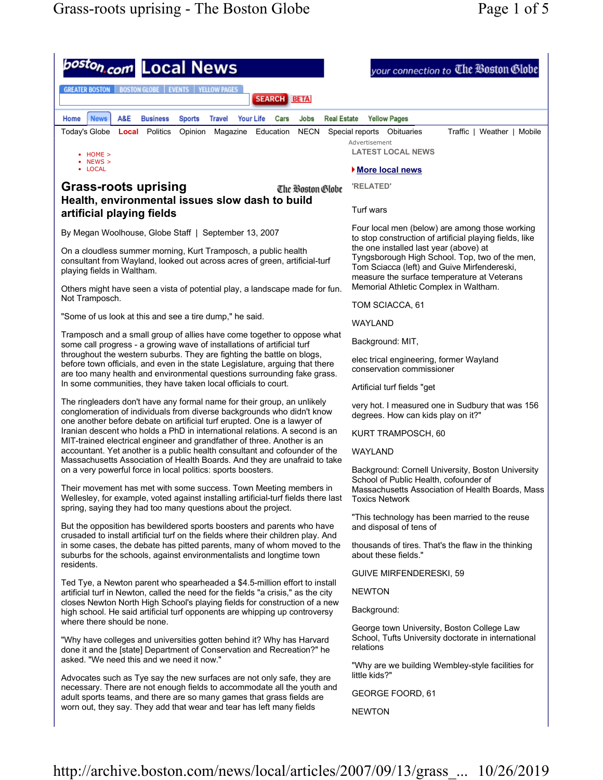

http://archive.boston.com/news/local/articles/2007/09/13/grass\_... 10/26/2019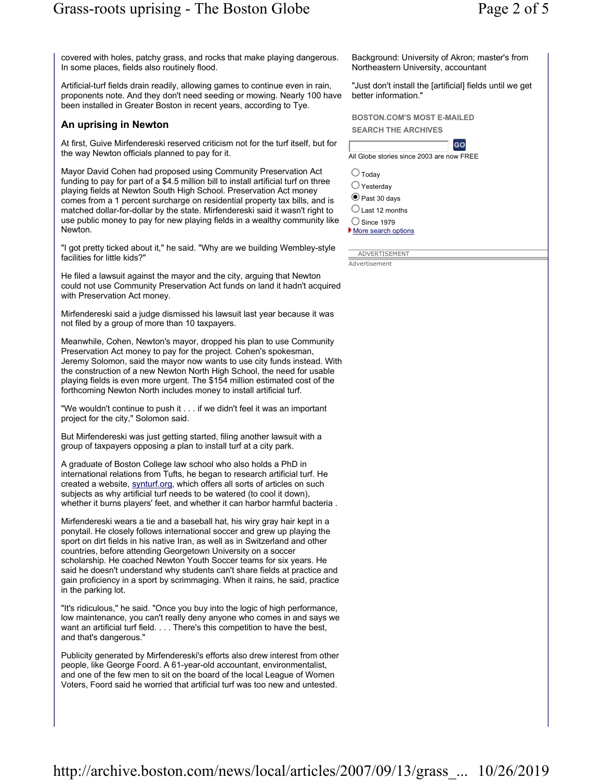covered with holes, patchy grass, and rocks that make playing dangerous. In some places, fields also routinely flood.

Artificial-turf fields drain readily, allowing games to continue even in rain, proponents note. And they don't need seeding or mowing. Nearly 100 have been installed in Greater Boston in recent years, according to Tye.

## An uprising in Newton

At first, Guive Mirfendereski reserved criticism not for the turf itself, but for the way Newton officials planned to pay for it.

Mayor David Cohen had proposed using Community Preservation Act funding to pay for part of a \$4.5 million bill to install artificial turf on three playing fields at Newton South High School. Preservation Act money comes from a 1 percent surcharge on residential property tax bills, and is matched dollar-for-dollar by the state. Mirfendereski said it wasn't right to use public money to pay for new playing fields in a wealthy community like Newton.

"I got pretty ticked about it," he said. "Why are we building Wembley-style facilities for little kids?"

He filed a lawsuit against the mayor and the city, arguing that Newton could not use Community Preservation Act funds on land it hadn't acquired with Preservation Act money.

Mirfendereski said a judge dismissed his lawsuit last year because it was not filed by a group of more than 10 taxpayers.

Meanwhile, Cohen, Newton's mayor, dropped his plan to use Community Preservation Act money to pay for the project. Cohen's spokesman, Jeremy Solomon, said the mayor now wants to use city funds instead. With the construction of a new Newton North High School, the need for usable playing fields is even more urgent. The \$154 million estimated cost of the forthcoming Newton North includes money to install artificial turf.

"We wouldn't continue to push it . . . if we didn't feel it was an important project for the city," Solomon said.

But Mirfendereski was just getting started, filing another lawsuit with a group of taxpayers opposing a plan to install turf at a city park.

A graduate of Boston College law school who also holds a PhD in international relations from Tufts, he began to research artificial turf. He created a website, synturf.org, which offers all sorts of articles on such subjects as why artificial turf needs to be watered (to cool it down), whether it burns players' feet, and whether it can harbor harmful bacteria .

Mirfendereski wears a tie and a baseball hat, his wiry gray hair kept in a ponytail. He closely follows international soccer and grew up playing the sport on dirt fields in his native Iran, as well as in Switzerland and other countries, before attending Georgetown University on a soccer scholarship. He coached Newton Youth Soccer teams for six years. He said he doesn't understand why students can't share fields at practice and gain proficiency in a sport by scrimmaging. When it rains, he said, practice in the parking lot.

"It's ridiculous," he said. "Once you buy into the logic of high performance, low maintenance, you can't really deny anyone who comes in and says we want an artificial turf field. . . . There's this competition to have the best, and that's dangerous."

Publicity generated by Mirfendereski's efforts also drew interest from other people, like George Foord. A 61-year-old accountant, environmentalist, and one of the few men to sit on the board of the local League of Women Voters, Foord said he worried that artificial turf was too new and untested.

Background: University of Akron; master's from Northeastern University, accountant

"Just don't install the [artificial] fields until we get better information."

BOSTON.COM'S MOST E-MAILED SEARCH THE ARCHIVES



All Globe stories since 2003 are now FREE

 $\bigcirc$  Today

 $\bigcirc$  Yesterday

 $\textcolor{blue}{\bullet}$  Past 30 davs

 $\bigcirc$  Last 12 months

 $\bigcirc$  Since 1979 More search options

ADVERTISEMENT **Advertisement**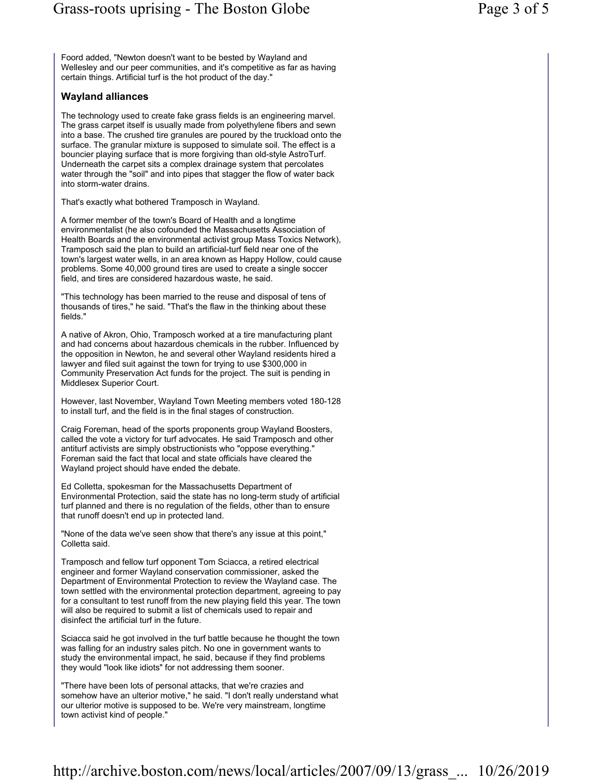Foord added, "Newton doesn't want to be bested by Wayland and Wellesley and our peer communities, and it's competitive as far as having certain things. Artificial turf is the hot product of the day."

## Wayland alliances

The technology used to create fake grass fields is an engineering marvel. The grass carpet itself is usually made from polyethylene fibers and sewn into a base. The crushed tire granules are poured by the truckload onto the surface. The granular mixture is supposed to simulate soil. The effect is a bouncier playing surface that is more forgiving than old-style AstroTurf. Underneath the carpet sits a complex drainage system that percolates water through the "soil" and into pipes that stagger the flow of water back into storm-water drains.

That's exactly what bothered Tramposch in Wayland.

A former member of the town's Board of Health and a longtime environmentalist (he also cofounded the Massachusetts Association of Health Boards and the environmental activist group Mass Toxics Network), Tramposch said the plan to build an artificial-turf field near one of the town's largest water wells, in an area known as Happy Hollow, could cause problems. Some 40,000 ground tires are used to create a single soccer field, and tires are considered hazardous waste, he said.

"This technology has been married to the reuse and disposal of tens of thousands of tires," he said. "That's the flaw in the thinking about these fields."

A native of Akron, Ohio, Tramposch worked at a tire manufacturing plant and had concerns about hazardous chemicals in the rubber. Influenced by the opposition in Newton, he and several other Wayland residents hired a lawyer and filed suit against the town for trying to use \$300,000 in Community Preservation Act funds for the project. The suit is pending in Middlesex Superior Court.

However, last November, Wayland Town Meeting members voted 180-128 to install turf, and the field is in the final stages of construction.

Craig Foreman, head of the sports proponents group Wayland Boosters, called the vote a victory for turf advocates. He said Tramposch and other antiturf activists are simply obstructionists who "oppose everything." Foreman said the fact that local and state officials have cleared the Wayland project should have ended the debate.

Ed Colletta, spokesman for the Massachusetts Department of Environmental Protection, said the state has no long-term study of artificial turf planned and there is no regulation of the fields, other than to ensure that runoff doesn't end up in protected land.

"None of the data we've seen show that there's any issue at this point," Colletta said.

Tramposch and fellow turf opponent Tom Sciacca, a retired electrical engineer and former Wayland conservation commissioner, asked the Department of Environmental Protection to review the Wayland case. The town settled with the environmental protection department, agreeing to pay for a consultant to test runoff from the new playing field this year. The town will also be required to submit a list of chemicals used to repair and disinfect the artificial turf in the future.

Sciacca said he got involved in the turf battle because he thought the town was falling for an industry sales pitch. No one in government wants to study the environmental impact, he said, because if they find problems they would "look like idiots" for not addressing them sooner.

"There have been lots of personal attacks, that we're crazies and somehow have an ulterior motive," he said. "I don't really understand what our ulterior motive is supposed to be. We're very mainstream, longtime town activist kind of people."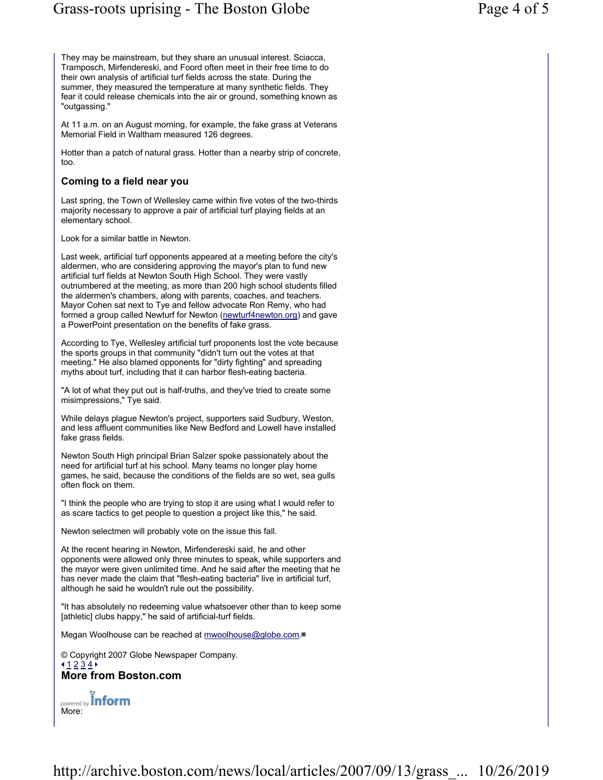They may be mainstream, but they share an unusual interest. Sciacca, Tramposch, Mirfendereski, and Foord often meet in their free time to do their own analysis of artificial turf fields across the state. During the summer, they measured the temperature at many synthetic fields. They fear it could release chemicals into the air or ground, something known as "outgassing."

At 11 a.m. on an August morning, for example, the fake grass at Veterans Memorial Field in Waltham measured 126 degrees.

Hotter than a patch of natural grass. Hotter than a nearby strip of concrete, too.

## Coming to a field near you

Last spring, the Town of Wellesley came within five votes of the two-thirds majority necessary to approve a pair of artificial turf playing fields at an elementary school.

Look for a similar battle in Newton.

Last week, artificial turf opponents appeared at a meeting before the city's aldermen, who are considering approving the mayor's plan to fund new artificial turf fields at Newton South High School. They were vastly outnumbered at the meeting, as more than 200 high school students filled the aldermen's chambers, along with parents, coaches, and teachers. Mayor Cohen sat next to Tye and fellow advocate Ron Remy, who had formed a group called Newturf for Newton (newturf4newton.org) and gave a PowerPoint presentation on the benefits of fake grass.

According to Tye, Wellesley artificial turf proponents lost the vote because the sports groups in that community "didn't turn out the votes at that meeting." He also blamed opponents for "dirty fighting" and spreading myths about turf, including that it can harbor flesh-eating bacteria.

"A lot of what they put out is half-truths, and they've tried to create some misimpressions," Tye said.

While delays plague Newton's project, supporters said Sudbury, Weston, and less affluent communities like New Bedford and Lowell have installed fake grass fields.

Newton South High principal Brian Salzer spoke passionately about the need for artificial turf at his school. Many teams no longer play home games, he said, because the conditions of the fields are so wet, sea gulls often flock on them.

"I think the people who are trying to stop it are using what I would refer to as scare tactics to get people to question a project like this," he said.

Newton selectmen will probably vote on the issue this fall.

At the recent hearing in Newton, Mirfendereski said, he and other opponents were allowed only three minutes to speak, while supporters and the mayor were given unlimited time. And he said after the meeting that he has never made the claim that "flesh-eating bacteria" live in artificial turf, although he said he wouldn't rule out the possibility.

"It has absolutely no redeeming value whatsoever other than to keep some [athletic] clubs happy," he said of artificial-turf fields.

Megan Woolhouse can be reached at mwoolhouse@globe.com.

© Copyright 2007 Globe Newspaper Company.  $1 2 3 4$ More from Boston.com